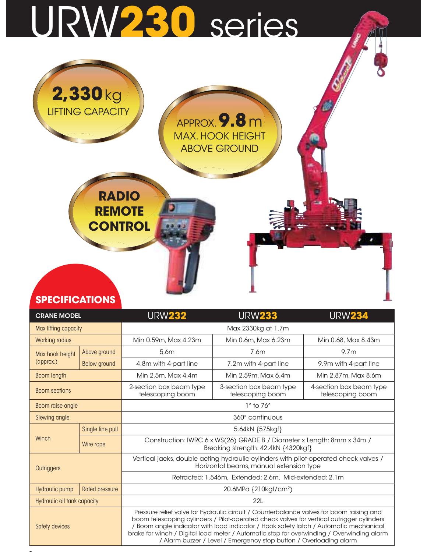# URW230 series



**Participate in the contract of the contract of the contract of the contract of the contract of the contract of** 

| <b>SPECIFICATIONS</b><br><b>CRANE MODEL</b> |                       | <b>URW232</b>                               | <b>URW233</b>                                                                                                                                                                                                                                                                                                                                                                                                                                     | <b>URW234</b>                               |
|---------------------------------------------|-----------------------|---------------------------------------------|---------------------------------------------------------------------------------------------------------------------------------------------------------------------------------------------------------------------------------------------------------------------------------------------------------------------------------------------------------------------------------------------------------------------------------------------------|---------------------------------------------|
| Max lifting capacity                        |                       |                                             | Max 2330kg at 1.7m                                                                                                                                                                                                                                                                                                                                                                                                                                |                                             |
| Working radius                              |                       | Min 0.59m, Max 4.23m                        | Min 0.6m, Max 6.23m                                                                                                                                                                                                                                                                                                                                                                                                                               | Min 0.68, Max 8.43m                         |
| Max hook height                             | Above ground          | 5.6m                                        | 7.6m                                                                                                                                                                                                                                                                                                                                                                                                                                              | 9.7 <sub>m</sub>                            |
| (approx.)                                   | <b>Below ground</b>   | 4.8m with 4-part line                       | 7.2m with 4-part line                                                                                                                                                                                                                                                                                                                                                                                                                             | 9.9m with 4-part line                       |
| Boom length                                 |                       | Min 2.5m, Max 4.4m                          | Min 2.59m, Max 6.4m                                                                                                                                                                                                                                                                                                                                                                                                                               | Min 2.87m, Max 8.6m                         |
| <b>Boom sections</b>                        |                       | 2-section box beam type<br>telescoping boom | 3-section box beam type<br>telescoping boom                                                                                                                                                                                                                                                                                                                                                                                                       | 4-section box beam type<br>telescoping boom |
| Boom raise angle                            |                       |                                             | $1^\circ$ to 76 $^\circ$                                                                                                                                                                                                                                                                                                                                                                                                                          |                                             |
| Slewing angle                               |                       |                                             | 360° continuous                                                                                                                                                                                                                                                                                                                                                                                                                                   |                                             |
|                                             | Single line pull      |                                             | 5.64kN {575kgf}                                                                                                                                                                                                                                                                                                                                                                                                                                   |                                             |
| Winch                                       | Wire rope             |                                             | Construction: IWRC 6 x WS(26) GRADE B / Diameter x Length: 8mm x 34m /<br>Breaking strength: 42.4kN {4320kgf}                                                                                                                                                                                                                                                                                                                                     |                                             |
| Outriggers                                  |                       |                                             | Vertical jacks, double acting hydraulic cylinders with pilot-operated check valves /<br>Horizontal beams, manual extension type                                                                                                                                                                                                                                                                                                                   |                                             |
|                                             |                       |                                             | Retracted: 1.546m, Extended: 2.6m, Mid-extended: 2.1m                                                                                                                                                                                                                                                                                                                                                                                             |                                             |
| <b>Hydraulic pump</b>                       | <b>Rated pressure</b> |                                             | 20.6MPa {210kgf/cm <sup>2</sup> )                                                                                                                                                                                                                                                                                                                                                                                                                 |                                             |
| Hydraulic oil tank capacity                 |                       |                                             | 22L                                                                                                                                                                                                                                                                                                                                                                                                                                               |                                             |
| Safety devices                              |                       |                                             | Pressure relief valve for hydraulic circuit / Counterbalance valves for boom raising and<br>boom telescoping cylinders / Pilot-operated check valves for vertical outrigger cylinders<br>/ Boom angle indicator with load indicator / Hook safety latch / Automatic mechanical<br>brake for winch / Digital load meter / Automatic stop for overwinding / Overwinding alarm<br>/ Alarm buzzer / Level / Emergency stop button / Overloading alarm |                                             |